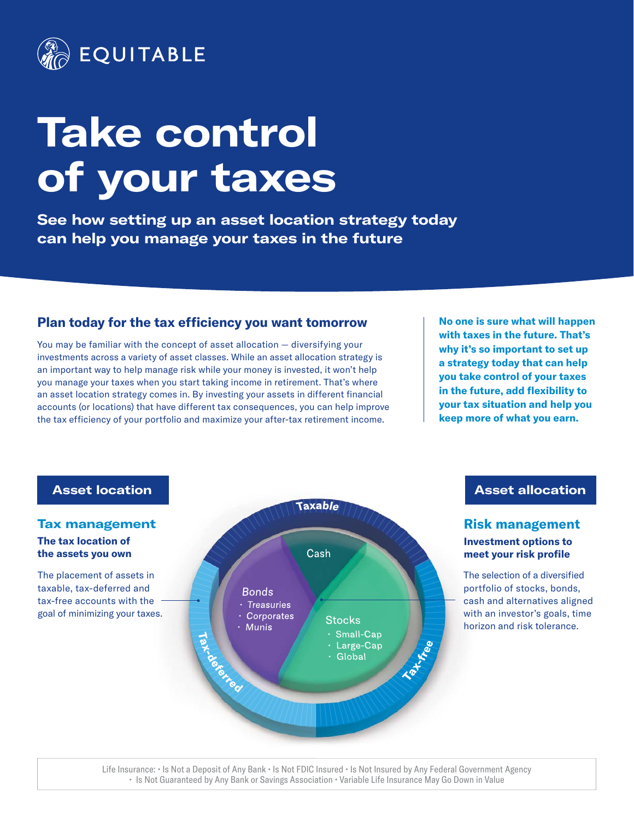

# **Take control of your taxes**

**See how setting up an asset location strategy today can help you manage your taxes in the future**

## **Plan today for the tax efficiency you want tomorrow**

You may be familiar with the concept of asset allocation — diversifying your investments across a variety of asset classes. While an asset allocation strategy is an important way to help manage risk while your money is invested, it won't help you manage your taxes when you start taking income in retirement. That's where an asset location strategy comes in. By investing your assets in different financial accounts (or locations) that have different tax consequences, you can help improve the tax efficiency of your portfolio and maximize your after-tax retirement income.

**No one is sure what will happen with taxes in the future. That's why it's so important to set up a strategy today that can help you take control of your taxes in the future, add flexibility to your tax situation and help you keep more of what you earn.**



**Asset allocation**

#### **Risk management Investment options to meet your risk profile**

The selection of a diversified portfolio of stocks, bonds, cash and alternatives aligned with an investor's goals, time horizon and risk tolerance.

Life Insurance: • Is Not a Deposit of Any Bank • Is Not FDIC Insured • Is Not Insured by Any Federal Government Agency • Is Not Guaranteed by Any Bank or Savings Association • Variable Life Insurance May Go Down in Value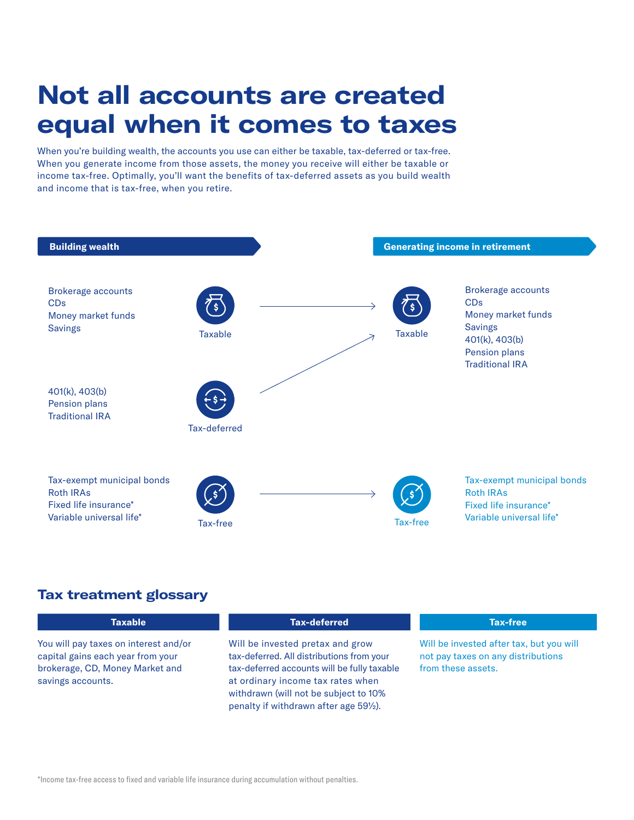# **Not all accounts are created equal when it comes to taxes**

When you're building wealth, the accounts you use can either be taxable, tax-deferred or tax-free. When you generate income from those assets, the money you receive will either be taxable or income tax-free. Optimally, you'll want the benefits of tax-deferred assets as you build wealth and income that is tax-free, when you retire.



# **Tax treatment glossary**

| <b>Taxable</b>                                                                                                                     | <b>Tax-deferred</b>                                                                                                                                                                                                                                  | <b>Tax-free</b>                                                                                      |
|------------------------------------------------------------------------------------------------------------------------------------|------------------------------------------------------------------------------------------------------------------------------------------------------------------------------------------------------------------------------------------------------|------------------------------------------------------------------------------------------------------|
| You will pay taxes on interest and/or<br>capital gains each year from your<br>brokerage, CD, Money Market and<br>savings accounts. | Will be invested pretax and grow<br>tax-deferred. All distributions from your<br>tax-deferred accounts will be fully taxable<br>at ordinary income tax rates when<br>withdrawn (will not be subject to 10%<br>penalty if withdrawn after age 591/2). | Will be invested after tax, but you will<br>not pay taxes on any distributions<br>from these assets. |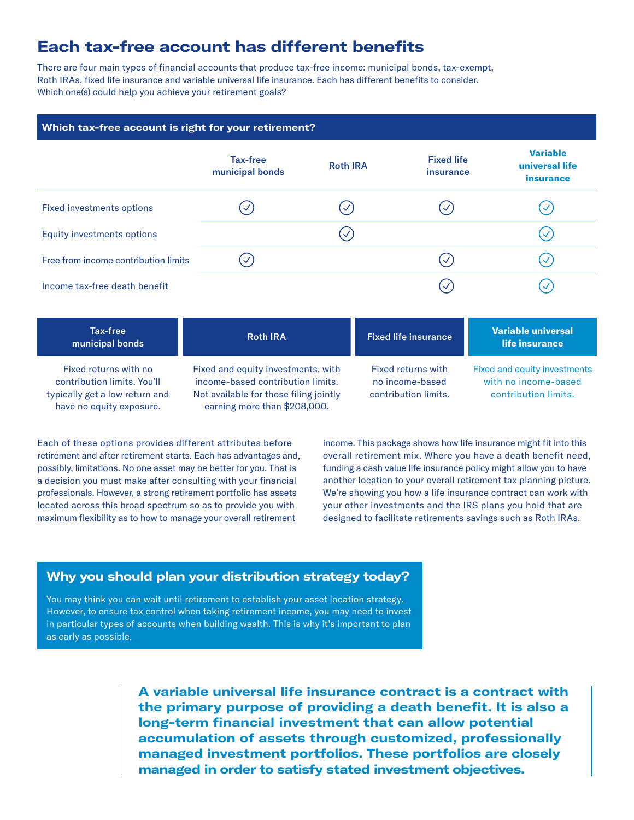# **Each tax-free account has different benefits**

There are four main types of financial accounts that produce tax-free income: municipal bonds, tax-exempt, Roth IRAs, fixed life insurance and variable universal life insurance. Each has different benefits to consider. Which one(s) could help you achieve your retirement goals?

#### **Which tax-free account is right for your retirement?**

|                                      | Tax-free<br>municipal bonds | <b>Roth IRA</b> | <b>Fixed life</b><br>insurance | <b>Variable</b><br>universal life<br>insurance |
|--------------------------------------|-----------------------------|-----------------|--------------------------------|------------------------------------------------|
| <b>Fixed investments options</b>     |                             | $\checkmark$    | $\checkmark$                   | $\checkmark$                                   |
| <b>Equity investments options</b>    |                             | ✓               |                                | $\prec$                                        |
| Free from income contribution limits | $\mathcal{S}$               |                 | $\prec$                        | $\prec$                                        |
| Income tax-free death benefit        |                             |                 | $\overline{\mathcal{A}}$       | $\checkmark$                                   |

| Tax-free<br>municipal bonds                                                                                        | <b>Roth IRA</b>                                                                                                                                   | <b>Fixed life insurance</b>                                   | Variable universal<br>life insurance                                         |
|--------------------------------------------------------------------------------------------------------------------|---------------------------------------------------------------------------------------------------------------------------------------------------|---------------------------------------------------------------|------------------------------------------------------------------------------|
| Fixed returns with no<br>contribution limits, You'll<br>typically get a low return and<br>have no equity exposure. | Fixed and equity investments, with<br>income-based contribution limits.<br>Not available for those filing jointly<br>earning more than \$208,000. | Fixed returns with<br>no income-based<br>contribution limits. | Fixed and equity investments<br>with no income-based<br>contribution limits. |

Each of these options provides different attributes before retirement and after retirement starts. Each has advantages and, possibly, limitations. No one asset may be better for you. That is a decision you must make after consulting with your financial professionals. However, a strong retirement portfolio has assets located across this broad spectrum so as to provide you with maximum flexibility as to how to manage your overall retirement

income. This package shows how life insurance might fit into this overall retirement mix. Where you have a death benefit need, funding a cash value life insurance policy might allow you to have another location to your overall retirement tax planning picture. We're showing you how a life insurance contract can work with your other investments and the IRS plans you hold that are designed to facilitate retirements savings such as Roth IRAs.

### **Why you should plan your distribution strategy today?**

You may think you can wait until retirement to establish your asset location strategy. However, to ensure tax control when taking retirement income, you may need to invest in particular types of accounts when building wealth. This is why it's important to plan as early as possible.

> **A variable universal life insurance contract is a contract with the primary purpose of providing a death benefit. It is also a long-term financial investment that can allow potential accumulation of assets through customized, professionally managed investment portfolios. These portfolios are closely managed in order to satisfy stated investment objectives.**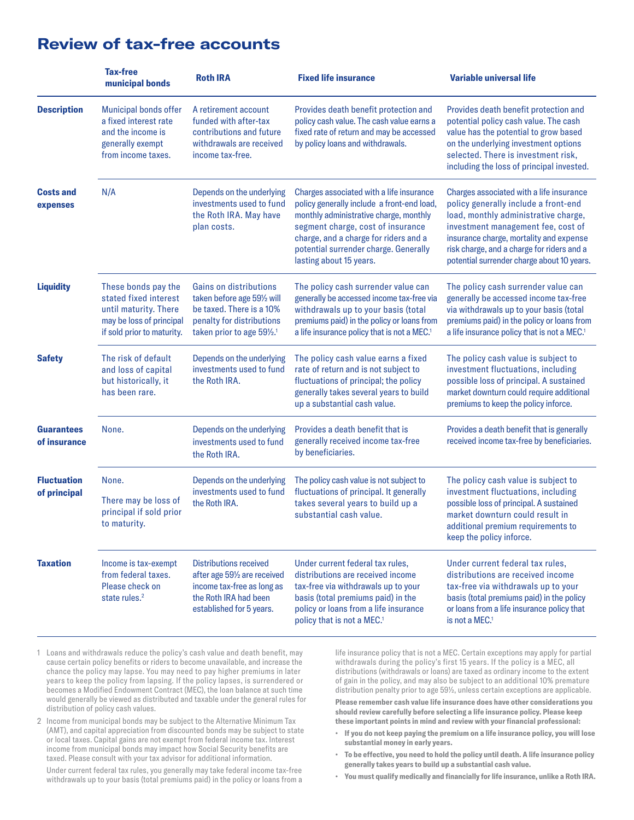|                                    | <b>Tax-free</b><br>municipal bonds                                                                                              | <b>Roth IRA</b>                                                                                                                              | <b>Fixed life insurance</b>                                                                                                                                                                                                                                                        | <b>Variable universal life</b>                                                                                                                                                                                                                                                                        |
|------------------------------------|---------------------------------------------------------------------------------------------------------------------------------|----------------------------------------------------------------------------------------------------------------------------------------------|------------------------------------------------------------------------------------------------------------------------------------------------------------------------------------------------------------------------------------------------------------------------------------|-------------------------------------------------------------------------------------------------------------------------------------------------------------------------------------------------------------------------------------------------------------------------------------------------------|
| <b>Description</b>                 | Municipal bonds offer<br>a fixed interest rate<br>and the income is<br>generally exempt<br>from income taxes.                   | A retirement account<br>funded with after-tax<br>contributions and future<br>withdrawals are received<br>income tax-free.                    | Provides death benefit protection and<br>policy cash value. The cash value earns a<br>fixed rate of return and may be accessed<br>by policy loans and withdrawals.                                                                                                                 | Provides death benefit protection and<br>potential policy cash value. The cash<br>value has the potential to grow based<br>on the underlying investment options<br>selected. There is investment risk,<br>including the loss of principal invested.                                                   |
| <b>Costs and</b><br>expenses       | N/A                                                                                                                             | Depends on the underlying<br>investments used to fund<br>the Roth IRA. May have<br>plan costs.                                               | Charges associated with a life insurance<br>policy generally include a front-end load,<br>monthly administrative charge, monthly<br>segment charge, cost of insurance<br>charge, and a charge for riders and a<br>potential surrender charge. Generally<br>lasting about 15 years. | Charges associated with a life insurance<br>policy generally include a front-end<br>load, monthly administrative charge,<br>investment management fee, cost of<br>insurance charge, mortality and expense<br>risk charge, and a charge for riders and a<br>potential surrender charge about 10 years. |
| <b>Liquidity</b>                   | These bonds pay the<br>stated fixed interest<br>until maturity. There<br>may be loss of principal<br>if sold prior to maturity. | Gains on distributions<br>taken before age 591/2 will<br>be taxed. There is a 10%<br>penalty for distributions<br>taken prior to age 591/2.1 | The policy cash surrender value can<br>generally be accessed income tax-free via<br>withdrawals up to your basis (total<br>premiums paid) in the policy or loans from<br>a life insurance policy that is not a MEC. <sup>1</sup>                                                   | The policy cash surrender value can<br>generally be accessed income tax-free<br>via withdrawals up to your basis (total<br>premiums paid) in the policy or loans from<br>a life insurance policy that is not a MEC. <sup>1</sup>                                                                      |
| <b>Safety</b>                      | The risk of default<br>and loss of capital<br>but historically, it<br>has been rare.                                            | Depends on the underlying<br>investments used to fund<br>the Roth IRA.                                                                       | The policy cash value earns a fixed<br>rate of return and is not subject to<br>fluctuations of principal; the policy<br>generally takes several years to build<br>up a substantial cash value.                                                                                     | The policy cash value is subject to<br>investment fluctuations, including<br>possible loss of principal. A sustained<br>market downturn could require additional<br>premiums to keep the policy inforce.                                                                                              |
| <b>Guarantees</b><br>of insurance  | None.                                                                                                                           | Depends on the underlying<br>investments used to fund<br>the Roth IRA.                                                                       | Provides a death benefit that is<br>generally received income tax-free<br>by beneficiaries.                                                                                                                                                                                        | Provides a death benefit that is generally<br>received income tax-free by beneficiaries.                                                                                                                                                                                                              |
| <b>Fluctuation</b><br>of principal | None.<br>There may be loss of<br>principal if sold prior<br>to maturity.                                                        | Depends on the underlying<br>investments used to fund<br>the Roth IRA.                                                                       | The policy cash value is not subject to<br>fluctuations of principal. It generally<br>takes several years to build up a<br>substantial cash value.                                                                                                                                 | The policy cash value is subject to<br>investment fluctuations, including<br>possible loss of principal. A sustained<br>market downturn could result in<br>additional premium requirements to<br>keep the policy inforce.                                                                             |
| <b>Taxation</b>                    | Income is tax-exempt<br>from federal taxes.<br>Please check on<br>state rules. <sup>2</sup>                                     | Distributions received<br>after age 591/2 are received<br>income tax-free as long as<br>the Roth IRA had been<br>established for 5 years.    | Under current federal tax rules,<br>distributions are received income<br>tax-free via withdrawals up to your<br>basis (total premiums paid) in the<br>policy or loans from a life insurance<br>policy that is not a MEC. <sup>1</sup>                                              | Under current federal tax rules,<br>distributions are received income<br>tax-free via withdrawals up to your<br>basis (total premiums paid) in the policy<br>or loans from a life insurance policy that<br>is not a MEC. <sup>1</sup>                                                                 |

# **Review of tax-free accounts**

1 Loans and withdrawals reduce the policy's cash value and death benefit, may cause certain policy benefits or riders to become unavailable, and increase the chance the policy may lapse. You may need to pay higher premiums in later years to keep the policy from lapsing. If the policy lapses, is surrendered or becomes a Modified Endowment Contract (MEC), the loan balance at such time would generally be viewed as distributed and taxable under the general rules for distribution of policy cash values.

2 Income from municipal bonds may be subject to the Alternative Minimum Tax (AMT), and capital appreciation from discounted bonds may be subject to state or local taxes. Capital gains are not exempt from federal income tax. Interest income from municipal bonds may impact how Social Security benefits are taxed. Please consult with your tax advisor for additional information.

Under current federal tax rules, you generally may take federal income tax-free withdrawals up to your basis (total premiums paid) in the policy or loans from a life insurance policy that is not a MEC. Certain exceptions may apply for partial withdrawals during the policy's first 15 years. If the policy is a MEC, all distributions (withdrawals or loans) are taxed as ordinary income to the extent of gain in the policy, and may also be subject to an additional 10% premature distribution penalty prior to age 59½, unless certain exceptions are applicable.

**Please remember cash value life insurance does have other considerations you should review carefully before selecting a life insurance policy. Please keep these important points in mind and review with your financial professional:**

- **• If you do not keep paying the premium on a life insurance policy, you will lose substantial money in early years.**
- **• To be effective, you need to hold the policy until death. A life insurance policy generally takes years to build up a substantial cash value.**
- **• You must qualify medically and financially for life insurance, unlike a Roth IRA.**